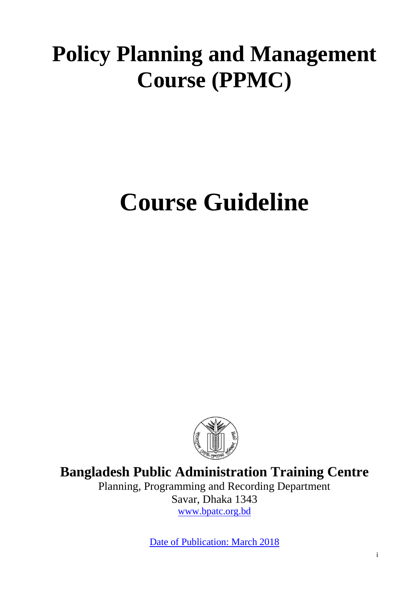# **Policy Planning and Management Course (PPMC)**

# **Course Guideline**



**Bangladesh Public Administration Training Centre**

Planning, Programming and Recording Department Savar, Dhaka 1343 [www.bpatc.org.bd](http://www.bpatc.org.bd/)

Date of Publication: March 2018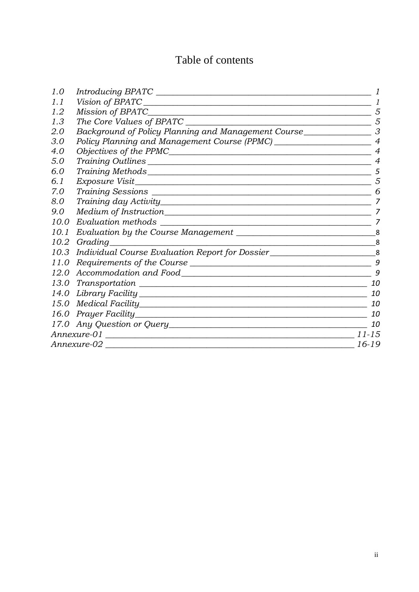# Table of contents

| 1.0  |                                                                                  |                |
|------|----------------------------------------------------------------------------------|----------------|
| 1.1  |                                                                                  | 1              |
| 1.2  | Mission of BPATC______                                                           | 5              |
| 1.3  | The Core Values of BPATC                                                         | 5              |
| 2.0  | Background of Policy Planning and Management Course                              | 3              |
| 3.0  | Policy Planning and Management Course (PPMC) ___________________________________ | $\overline{4}$ |
| 4.0  |                                                                                  | $\overline{4}$ |
| 5.0  |                                                                                  | $\overline{4}$ |
| 6.0  |                                                                                  | 5              |
| 6.1  |                                                                                  | 5              |
| 7.0  |                                                                                  | 6              |
| 8.0  |                                                                                  | 7              |
| 9.0  |                                                                                  | 7              |
| 10.0 | Evaluation methods                                                               | 7              |
| 10.1 |                                                                                  | 8              |
| 10.2 | Grading                                                                          | 8              |
| 10.3 | Individual Course Evaluation Report for Dossier____________________________8     |                |
| 11.0 | Requirements of the Course                                                       | 9              |
|      |                                                                                  | 9              |
|      |                                                                                  | 10             |
|      |                                                                                  | 10             |
|      |                                                                                  | 10             |
|      |                                                                                  | 10             |
|      |                                                                                  | 10             |
|      | Annexure-01                                                                      | $11 - 15$      |
|      | Annexure-02                                                                      | 16-19          |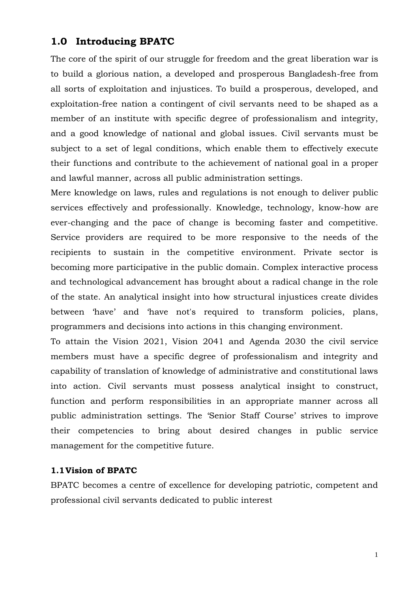# <span id="page-2-0"></span>**1.0 Introducing BPATC**

The core of the spirit of our struggle for freedom and the great liberation war is to build a glorious nation, a developed and prosperous Bangladesh-free from all sorts of exploitation and injustices. To build a prosperous, developed, and exploitation-free nation a contingent of civil servants need to be shaped as a member of an institute with specific degree of professionalism and integrity, and a good knowledge of national and global issues. Civil servants must be subject to a set of legal conditions, which enable them to effectively execute their functions and contribute to the achievement of national goal in a proper and lawful manner, across all public administration settings.

Mere knowledge on laws, rules and regulations is not enough to deliver public services effectively and professionally. Knowledge, technology, know-how are ever-changing and the pace of change is becoming faster and competitive. Service providers are required to be more responsive to the needs of the recipients to sustain in the competitive environment. Private sector is becoming more participative in the public domain. Complex interactive process and technological advancement has brought about a radical change in the role of the state. An analytical insight into how structural injustices create divides between 'have' and 'have not's required to transform policies, plans, programmers and decisions into actions in this changing environment.

To attain the Vision 2021, Vision 2041 and Agenda 2030 the civil service members must have a specific degree of professionalism and integrity and capability of translation of knowledge of administrative and constitutional laws into action. Civil servants must possess analytical insight to construct, function and perform responsibilities in an appropriate manner across all public administration settings. The 'Senior Staff Course' strives to improve their competencies to bring about desired changes in public service management for the competitive future.

#### **1.1Vision of BPATC**

BPATC becomes a centre of excellence for developing patriotic, competent and professional civil servants dedicated to public interest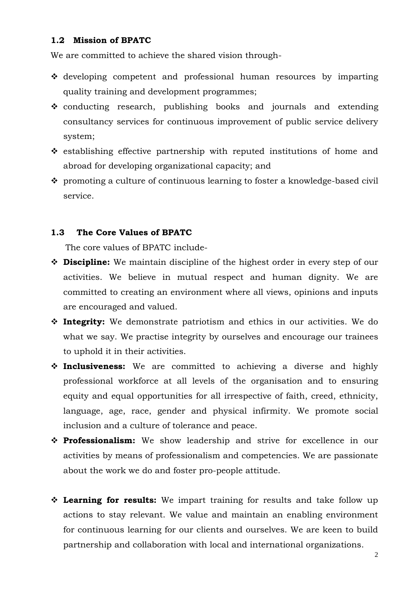#### **1.2 Mission of BPATC**

We are committed to achieve the shared vision through-

- $\triangle$  developing competent and professional human resources by imparting quality training and development programmes;
- conducting research, publishing books and journals and extending consultancy services for continuous improvement of public service delivery system;
- $\div$  establishing effective partnership with reputed institutions of home and abroad for developing organizational capacity; and
- promoting a culture of continuous learning to foster a knowledge-based civil service.

#### **1.3 The Core Values of BPATC**

The core values of BPATC include-

- **Discipline:** We maintain discipline of the highest order in every step of our activities. We believe in mutual respect and human dignity. We are committed to creating an environment where all views, opinions and inputs are encouraged and valued.
- **Integrity:** We demonstrate patriotism and ethics in our activities. We do what we say. We practise integrity by ourselves and encourage our trainees to uphold it in their activities.
- **Inclusiveness:** We are committed to achieving a diverse and highly professional workforce at all levels of the organisation and to ensuring equity and equal opportunities for all irrespective of faith, creed, ethnicity, language, age, race, gender and physical infirmity. We promote social inclusion and a culture of tolerance and peace.
- **Professionalism:** We show leadership and strive for excellence in our activities by means of professionalism and competencies. We are passionate about the work we do and foster pro-people attitude.
- **Learning for results:** We impart training for results and take follow up actions to stay relevant. We value and maintain an enabling environment for continuous learning for our clients and ourselves. We are keen to build partnership and collaboration with local and international organizations.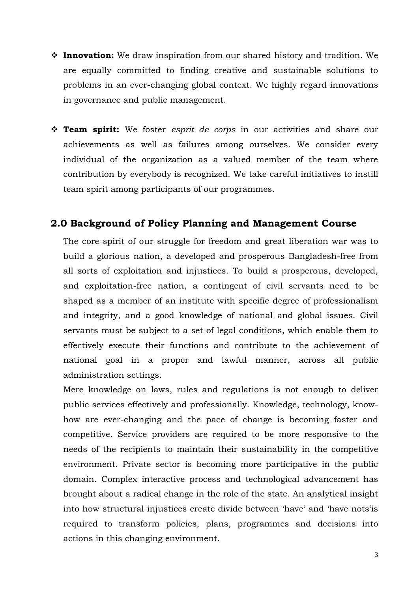- **Innovation:** We draw inspiration from our shared history and tradition. We are equally committed to finding creative and sustainable solutions to problems in an ever-changing global context. We highly regard innovations in governance and public management.
- **Team spirit:** We foster *esprit de corps* in our activities and share our achievements as well as failures among ourselves. We consider every individual of the organization as a valued member of the team where contribution by everybody is recognized. We take careful initiatives to instill team spirit among participants of our programmes.

#### **2.0 Background of Policy Planning and Management Course**

The core spirit of our struggle for freedom and great liberation war was to build a glorious nation, a developed and prosperous Bangladesh-free from all sorts of exploitation and injustices. To build a prosperous, developed, and exploitation-free nation, a contingent of civil servants need to be shaped as a member of an institute with specific degree of professionalism and integrity, and a good knowledge of national and global issues. Civil servants must be subject to a set of legal conditions, which enable them to effectively execute their functions and contribute to the achievement of national goal in a proper and lawful manner, across all public administration settings.

Mere knowledge on laws, rules and regulations is not enough to deliver public services effectively and professionally. Knowledge, technology, knowhow are ever-changing and the pace of change is becoming faster and competitive. Service providers are required to be more responsive to the needs of the recipients to maintain their sustainability in the competitive environment. Private sector is becoming more participative in the public domain. Complex interactive process and technological advancement has brought about a radical change in the role of the state. An analytical insight into how structural injustices create divide between 'have' and 'have nots'is required to transform policies, plans, programmes and decisions into actions in this changing environment.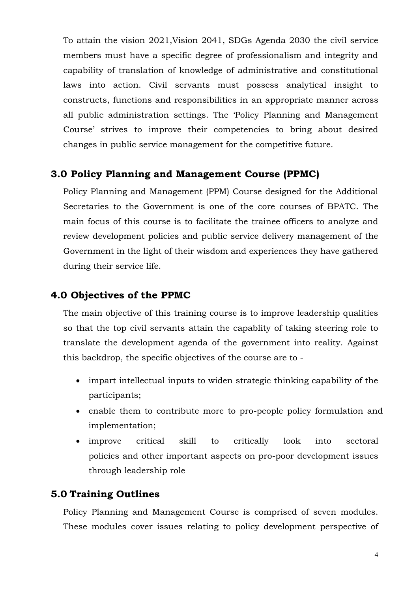To attain the vision 2021,Vision 2041, SDGs Agenda 2030 the civil service members must have a specific degree of professionalism and integrity and capability of translation of knowledge of administrative and constitutional laws into action. Civil servants must possess analytical insight to constructs, functions and responsibilities in an appropriate manner across all public administration settings. The 'Policy Planning and Management Course' strives to improve their competencies to bring about desired changes in public service management for the competitive future.

### <span id="page-5-0"></span>**3.0 Policy Planning and Management Course (PPMC)**

Policy Planning and Management (PPM) Course designed for the Additional Secretaries to the Government is one of the core courses of BPATC. The main focus of this course is to facilitate the trainee officers to analyze and review development policies and public service delivery management of the Government in the light of their wisdom and experiences they have gathered during their service life.

### <span id="page-5-1"></span>**4.0 Objectives of the PPMC**

The main objective of this training course is to improve leadership qualities so that the top civil servants attain the capablity of taking steering role to translate the development agenda of the government into reality. Against this backdrop, the specific objectives of the course are to -

- impart intellectual inputs to widen strategic thinking capability of the participants;
- enable them to contribute more to pro-people policy formulation and implementation;
- improve critical skill to critically look into sectoral policies and other important aspects on pro-poor development issues through leadership role

#### <span id="page-5-2"></span>**5.0 Training Outlines**

Policy Planning and Management Course is comprised of seven modules. These modules cover issues relating to policy development perspective of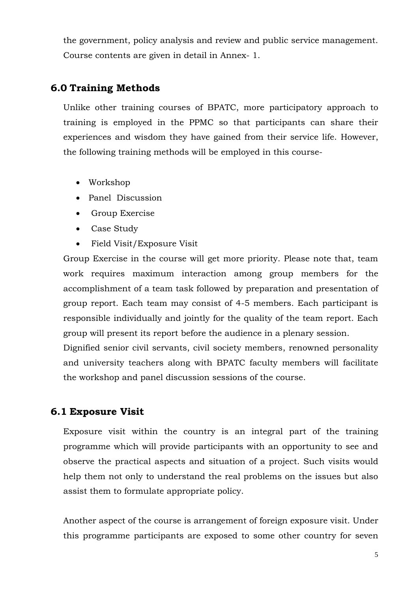the government, policy analysis and review and public service management. Course contents are given in detail in Annex- 1.

## <span id="page-6-1"></span>**6.0 Training Methods**

Unlike other training courses of BPATC, more participatory approach to training is employed in the PPMC so that participants can share their experiences and wisdom they have gained from their service life. However, the following training methods will be employed in this course-

- Workshop
- Panel Discussion
- Group Exercise
- Case Study
- Field Visit/Exposure Visit

Group Exercise in the course will get more priority. Please note that, team work requires maximum interaction among group members for the accomplishment of a team task followed by preparation and presentation of group report. Each team may consist of 4-5 members. Each participant is responsible individually and jointly for the quality of the team report. Each group will present its report before the audience in a plenary session.

Dignified senior civil servants, civil society members, renowned personality and university teachers along with BPATC faculty members will facilitate the workshop and panel discussion sessions of the course.

# <span id="page-6-0"></span>**6.1 Exposure Visit**

Exposure visit within the country is an integral part of the training programme which will provide participants with an opportunity to see and observe the practical aspects and situation of a project. Such visits would help them not only to understand the real problems on the issues but also assist them to formulate appropriate policy.

Another aspect of the course is arrangement of foreign exposure visit. Under this programme participants are exposed to some other country for seven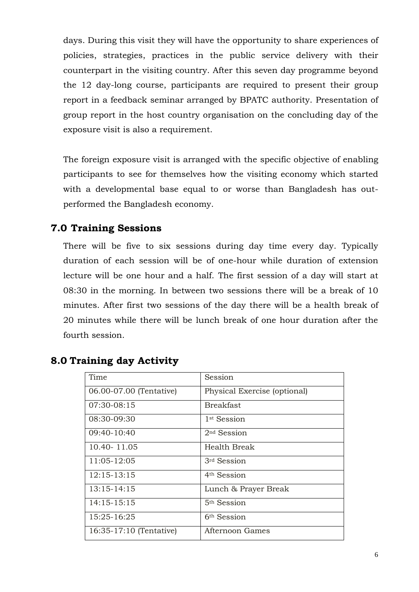days. During this visit they will have the opportunity to share experiences of policies, strategies, practices in the public service delivery with their counterpart in the visiting country. After this seven day programme beyond the 12 day-long course, participants are required to present their group report in a feedback seminar arranged by BPATC authority. Presentation of group report in the host country organisation on the concluding day of the exposure visit is also a requirement.

The foreign exposure visit is arranged with the specific objective of enabling participants to see for themselves how the visiting economy which started with a developmental base equal to or worse than Bangladesh has outperformed the Bangladesh economy.

## <span id="page-7-0"></span>**7.0 Training Sessions**

There will be five to six sessions during day time every day. Typically duration of each session will be of one-hour while duration of extension lecture will be one hour and a half. The first session of a day will start at 08:30 in the morning. In between two sessions there will be a break of 10 minutes. After first two sessions of the day there will be a health break of 20 minutes while there will be lunch break of one hour duration after the fourth session.

| Time                    | Session                      |
|-------------------------|------------------------------|
| 06.00-07.00 (Tentative) | Physical Exercise (optional) |
| 07:30-08:15             | <b>Breakfast</b>             |
| 08:30-09:30             | 1 <sup>st</sup> Session      |
| 09:40-10:40             | $2nd$ Session                |
| 10.40 - 11.05           | Health Break                 |
| 11:05-12:05             | 3rd Session                  |
| $12:15 - 13:15$         | 4 <sup>th</sup> Session      |
| $13:15 - 14:15$         | Lunch & Prayer Break         |
| $14:15-15:15$           | $5th$ Session                |
| 15:25-16:25             | 6 <sup>th</sup> Session      |
| 16:35-17:10 (Tentative) | Afternoon Games              |

# <span id="page-7-1"></span>**8.0 Training day Activity**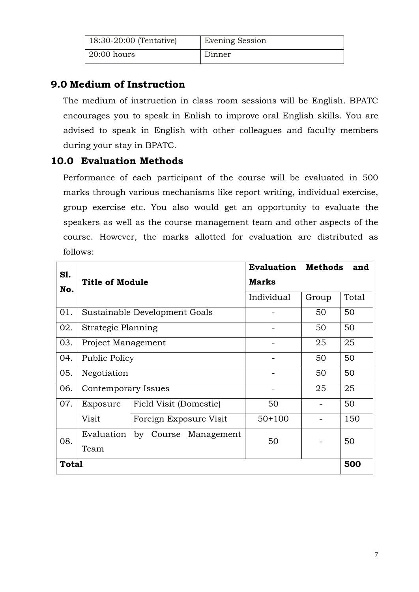| 18:30-20:00 (Tentative) | <b>Evening Session</b> |
|-------------------------|------------------------|
| $20:00$ hours           | Dinner                 |

# <span id="page-8-0"></span>**9.0 Medium of Instruction**

The medium of instruction in class room sessions will be English. BPATC encourages you to speak in Enlish to improve oral English skills. You are advised to speak in English with other colleagues and faculty members during your stay in BPATC.

# <span id="page-8-1"></span>**10.0 Evaluation Methods**

Performance of each participant of the course will be evaluated in 500 marks through various mechanisms like report writing, individual exercise, group exercise etc. You also would get an opportunity to evaluate the speakers as well as the course management team and other aspects of the course. However, the marks allotted for evaluation are distributed as follows:

<span id="page-8-2"></span>

| S1.<br>No.   | <b>Title of Module</b> |                               | <b>Evaluation</b><br><b>Methods</b><br>and<br><b>Marks</b> |       |       |
|--------------|------------------------|-------------------------------|------------------------------------------------------------|-------|-------|
|              |                        |                               | Individual                                                 | Group | Total |
| 01.          |                        | Sustainable Development Goals |                                                            | 50    | 50    |
| 02.          | Strategic Planning     |                               |                                                            | 50    | 50    |
| 03.          | Project Management     |                               |                                                            | 25    | 25    |
| 04.          | Public Policy          |                               |                                                            | 50    | 50    |
| 05.          | Negotiation            |                               |                                                            | 50    | 50    |
| 06.          | Contemporary Issues    |                               |                                                            | 25    | 25    |
| 07.          | Exposure               | Field Visit (Domestic)        | 50                                                         |       | 50    |
|              | Visit                  | Foreign Exposure Visit        | $50+100$                                                   |       | 150   |
| 08.          | Evaluation             | by Course Management          | 50                                                         |       | 50    |
|              | Team                   |                               |                                                            |       |       |
| <b>Total</b> |                        |                               |                                                            |       | 500   |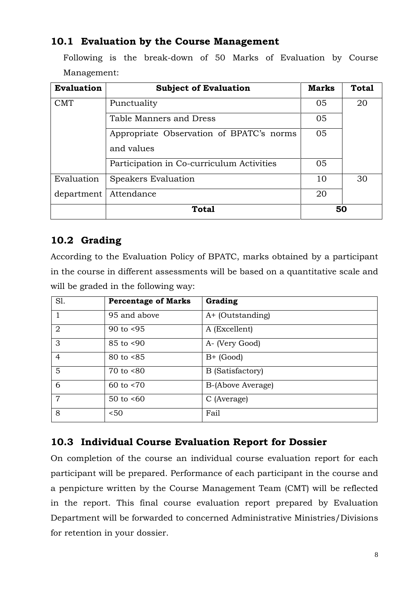# **10.1 Evaluation by the Course Management**

Following is the break-down of 50 Marks of Evaluation by Course Management:

| <b>Evaluation</b> | <b>Subject of Evaluation</b>              | <b>Marks</b> | <b>Total</b> |
|-------------------|-------------------------------------------|--------------|--------------|
| <b>CMT</b>        | Punctuality                               |              | 20           |
|                   | Table Manners and Dress                   | 05           |              |
|                   | 05                                        |              |              |
|                   | and values                                |              |              |
|                   | Participation in Co-curriculum Activities | 05           |              |
| Evaluation        | Speakers Evaluation                       | 10           | 30           |
| department        | Attendance                                | 20           |              |
|                   | <b>Total</b>                              | 50           |              |

# <span id="page-9-0"></span>**10.2 Grading**

According to the Evaluation Policy of BPATC, marks obtained by a participant in the course in different assessments will be based on a quantitative scale and will be graded in the following way:

| S1.            | <b>Percentage of Marks</b> | Grading                 |
|----------------|----------------------------|-------------------------|
|                | 95 and above               | A+ (Outstanding)        |
| 2              | 90 to $< 95$               | A (Excellent)           |
| 3              | 85 to <90                  | A- (Very Good)          |
| $\overline{4}$ | $80 \text{ to } 85$        | $B+$ (Good)             |
| $5\phantom{.}$ | $70$ to $<80$              | <b>B</b> (Satisfactory) |
| 6              | 60 to $< 70$               | B-(Above Average)       |
| $\overline{7}$ | $50$ to $<60$              | C (Average)             |
| 8              | 50<                        | Fail                    |

# <span id="page-9-1"></span>**10.3 Individual Course Evaluation Report for Dossier**

<span id="page-9-2"></span>On completion of the course an individual course evaluation report for each participant will be prepared. Performance of each participant in the course and a penpicture written by the Course Management Team (CMT) will be reflected in the report. This final course evaluation report prepared by Evaluation Department will be forwarded to concerned Administrative Ministries/Divisions for retention in your dossier.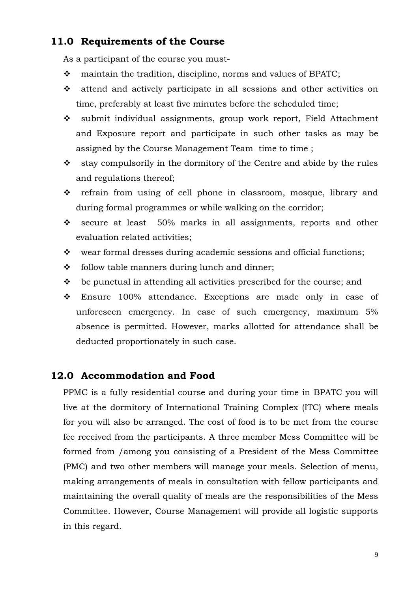### **11.0 Requirements of the Course**

As a participant of the course you must-

- \* maintain the tradition, discipline, norms and values of BPATC;
- $\hat{\mathbf{v}}$  attend and actively participate in all sessions and other activities on time, preferably at least five minutes before the scheduled time;
- submit individual assignments, group work report, Field Attachment and Exposure report and participate in such other tasks as may be assigned by the Course Management Team time to time ;
- $\cdot$  stay compulsorily in the dormitory of the Centre and abide by the rules and regulations thereof;
- refrain from using of cell phone in classroom, mosque, library and during formal programmes or while walking on the corridor;
- secure at least 50% marks in all assignments, reports and other evaluation related activities;
- $\mathbf{\hat{y}}$  wear formal dresses during academic sessions and official functions;
- $\div$  follow table manners during lunch and dinner;
- $\div$  be punctual in attending all activities prescribed for the course; and
- Ensure 100% attendance. Exceptions are made only in case of unforeseen emergency. In case of such emergency, maximum 5% absence is permitted. However, marks allotted for attendance shall be deducted proportionately in such case.

### <span id="page-10-0"></span>**12.0 Accommodation and Food**

<span id="page-10-1"></span>PPMC is a fully residential course and during your time in BPATC you will live at the dormitory of International Training Complex (ITC) where meals for you will also be arranged. The cost of food is to be met from the course fee received from the participants. A three member Mess Committee will be formed from /among you consisting of a President of the Mess Committee (PMC) and two other members will manage your meals. Selection of menu, making arrangements of meals in consultation with fellow participants and maintaining the overall quality of meals are the responsibilities of the Mess Committee. However, Course Management will provide all logistic supports in this regard.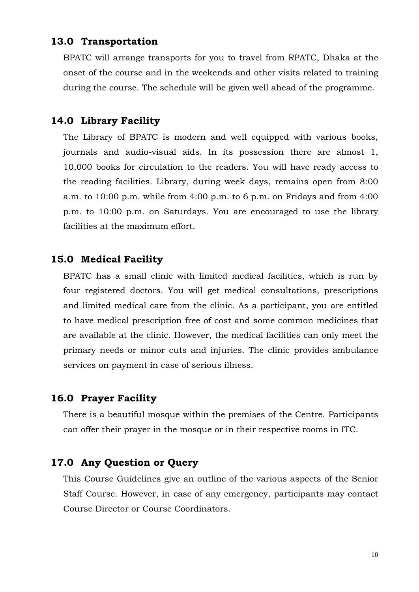#### **13.0 Transportation**

BPATC will arrange transports for you to travel from RPATC, Dhaka at the onset of the course and in the weekends and other visits related to training during the course. The schedule will be given well ahead of the programme.

#### <span id="page-11-0"></span>**14.0 Library Facility**

The Library of BPATC is modern and well equipped with various books, journals and audio-visual aids. In its possession there are almost 1, 10,000 books for circulation to the readers. You will have ready access to the reading facilities. Library, during week days, remains open from 8:00 a.m. to 10:00 p.m. while from 4:00 p.m. to 6 p.m. on Fridays and from 4:00 p.m. to 10:00 p.m. on Saturdays. You are encouraged to use the library facilities at the maximum effort.

#### <span id="page-11-1"></span>**15.0 Medical Facility**

BPATC has a small clinic with limited medical facilities, which is run by four registered doctors. You will get medical consultations, prescriptions and limited medical care from the clinic. As a participant, you are entitled to have medical prescription free of cost and some common medicines that are available at the clinic. However, the medical facilities can only meet the primary needs or minor cuts and injuries. The clinic provides ambulance services on payment in case of serious illness.

#### <span id="page-11-2"></span>**16.0 Prayer Facility**

There is a beautiful mosque within the premises of the Centre. Participants can offer their prayer in the mosque or in their respective rooms in ITC.

#### <span id="page-11-3"></span>**17.0 Any Question or Query**

This Course Guidelines give an outline of the various aspects of the Senior Staff Course. However, in case of any emergency, participants may contact Course Director or Course Coordinators.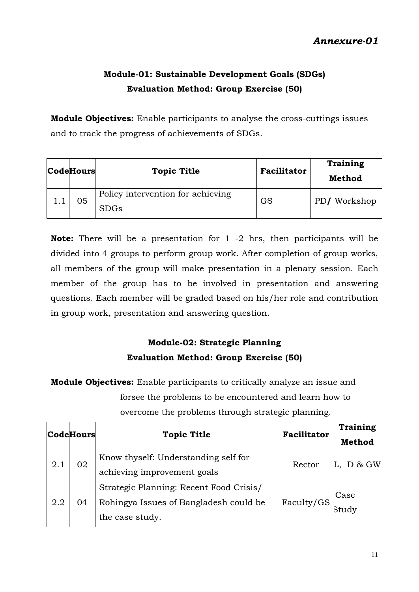# <span id="page-12-0"></span>**Module-01: Sustainable Development Goals (SDGs) Evaluation Method: Group Exercise (50)**

**Module Objectives:** Enable participants to analyse the cross-cuttings issues and to track the progress of achievements of SDGs.

| <b>CodeHours</b> | <b>Topic Title</b>                               | Facilitator | Training<br>Method |
|------------------|--------------------------------------------------|-------------|--------------------|
| 05               | Policy intervention for achieving<br><b>SDGs</b> | GS          | PD/Workshop        |

**Note:** There will be a presentation for 1 -2 hrs, then participants will be divided into 4 groups to perform group work. After completion of group works, all members of the group will make presentation in a plenary session. Each member of the group has to be involved in presentation and answering questions. Each member will be graded based on his/her role and contribution in group work, presentation and answering question.

# **Module-02: Strategic Planning Evaluation Method: Group Exercise (50)**

**Module Objectives:** Enable participants to critically analyze an issue and forsee the problems to be encountered and learn how to overcome the problems through strategic planning.

| <b>CodeHours</b> |    | <b>Topic Title</b>                                                                                   | <b>Facilitator</b> | Training<br><b>Method</b> |
|------------------|----|------------------------------------------------------------------------------------------------------|--------------------|---------------------------|
| 2.1              | 02 | Know thyself: Understanding self for<br>achieving improvement goals                                  | Rector             | D & GW                    |
| 2.2              | 04 | Strategic Planning: Recent Food Crisis/<br>Rohingya Issues of Bangladesh could be<br>the case study. | Faculty/GS         | Case<br>Study             |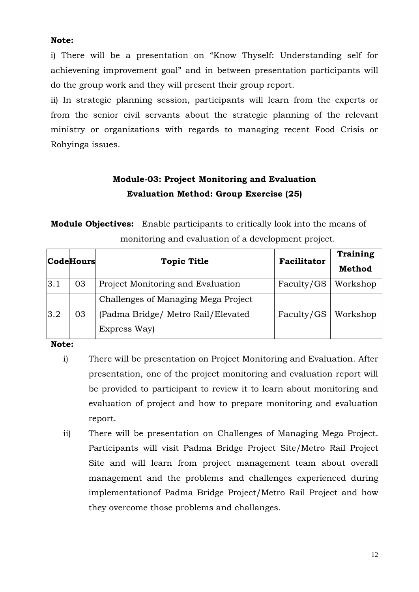#### **Note:**

i) There will be a presentation on "Know Thyself: Understanding self for achievening improvement goal" and in between presentation participants will do the group work and they will present their group report.

ii) In strategic planning session, participants will learn from the experts or from the senior civil servants about the strategic planning of the relevant ministry or organizations with regards to managing recent Food Crisis or Rohyinga issues.

# **Module-03: Project Monitoring and Evaluation Evaluation Method: Group Exercise (25)**

**Module Objectives:** Enable participants to critically look into the means of monitoring and evaluation of a development project.

|     | <b>CodeHours</b> | <b>Topic Title</b>                                                                        | <b>Facilitator</b> | Training<br><b>Method</b> |
|-----|------------------|-------------------------------------------------------------------------------------------|--------------------|---------------------------|
| 3.1 | 03               | Project Monitoring and Evaluation                                                         | Faculty/GS         | Workshop                  |
| 3.2 | 03               | Challenges of Managing Mega Project<br>(Padma Bridge/ Metro Rail/Elevated<br>Express Way) | Faculty/GS         | Workshop                  |

#### **Note:**

- i) There will be presentation on Project Monitoring and Evaluation. After presentation, one of the project monitoring and evaluation report will be provided to participant to review it to learn about monitoring and evaluation of project and how to prepare monitoring and evaluation report.
- ii) There will be presentation on Challenges of Managing Mega Project. Participants will visit Padma Bridge Project Site/Metro Rail Project Site and will learn from project management team about overall management and the problems and challenges experienced during implementationof Padma Bridge Project/Metro Rail Project and how they overcome those problems and challanges.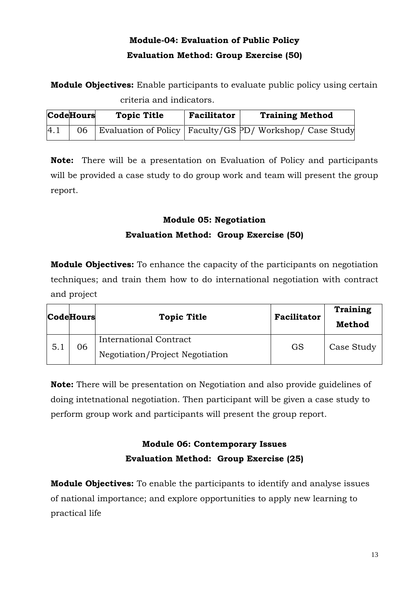# **Module-04: Evaluation of Public Policy Evaluation Method: Group Exercise (50)**

**Module Objectives:** Enable participants to evaluate public policy using certain criteria and indicators.

|     | <b>CodeHours</b> | <b>Topic Title</b> | <b>Facilitator</b> | <b>Training Method</b>                                          |
|-----|------------------|--------------------|--------------------|-----------------------------------------------------------------|
| 4.1 |                  |                    |                    | 06   Evaluation of Policy   Faculty/GS PD/ Workshop/ Case Study |

**Note:** There will be a presentation on Evaluation of Policy and participants will be provided a case study to do group work and team will present the group report.

# **Module 05: Negotiation Evaluation Method: Group Exercise (50)**

**Module Objectives:** To enhance the capacity of the participants on negotiation techniques; and train them how to do international negotiation with contract and project

|     | CodeHours | <b>Topic Title</b>              | <b>Facilitator</b> | <b>Training</b><br>Method |
|-----|-----------|---------------------------------|--------------------|---------------------------|
| 5.1 | 06        | International Contract          |                    | Case Study                |
|     |           | Negotiation/Project Negotiation | GS                 |                           |

**Note:** There will be presentation on Negotiation and also provide guidelines of doing intetnational negotiation. Then participant will be given a case study to perform group work and participants will present the group report.

# **Module 06: Contemporary Issues Evaluation Method: Group Exercise (25)**

**Module Objectives:** To enable the participants to identify and analyse issues of national importance; and explore opportunities to apply new learning to practical life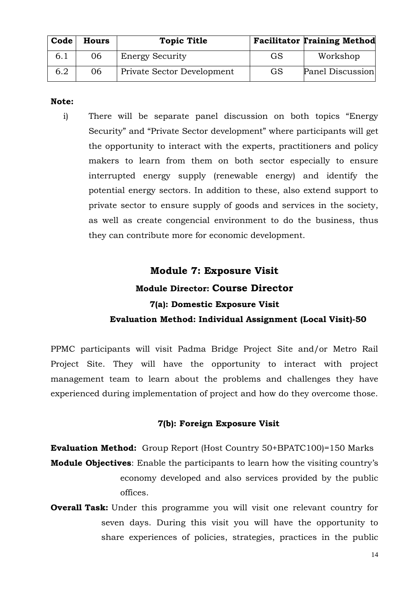| Code | <b>Hours</b> | <b>Topic Title</b>         |    | <b>Facilitator Training Method</b> |
|------|--------------|----------------------------|----|------------------------------------|
| 6.1  | 06           | <b>Energy Security</b>     | GS | Workshop                           |
| 6.2  | 06           | Private Sector Development | GS | Panel Discussion                   |

#### **Note:**

i) There will be separate panel discussion on both topics "Energy Security" and "Private Sector development" where participants will get the opportunity to interact with the experts, practitioners and policy makers to learn from them on both sector especially to ensure interrupted energy supply (renewable energy) and identify the potential energy sectors. In addition to these, also extend support to private sector to ensure supply of goods and services in the society, as well as create congencial environment to do the business, thus they can contribute more for economic development.

# **Module 7: Exposure Visit Module Director: Course Director 7(a): Domestic Exposure Visit Evaluation Method: Individual Assignment (Local Visit)-50**

PPMC participants will visit Padma Bridge Project Site and/or Metro Rail Project Site. They will have the opportunity to interact with project management team to learn about the problems and challenges they have experienced during implementation of project and how do they overcome those.

#### **7(b): Foreign Exposure Visit**

**Evaluation Method:** Group Report (Host Country 50+BPATC100)=150 Marks **Module Objectives**: Enable the participants to learn how the visiting country's economy developed and also services provided by the public offices.

**Overall Task:** Under this programme you will visit one relevant country for seven days. During this visit you will have the opportunity to share experiences of policies, strategies, practices in the public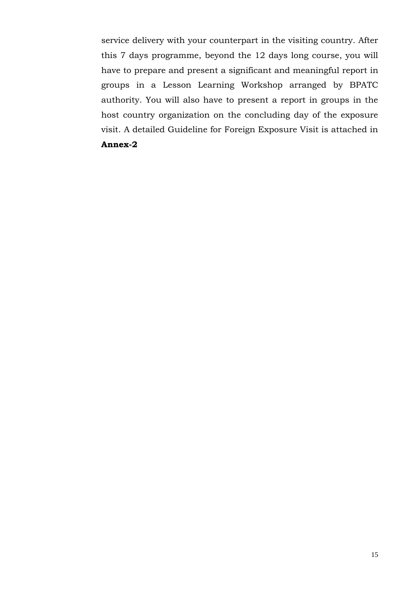service delivery with your counterpart in the visiting country. After this 7 days programme, beyond the 12 days long course, you will have to prepare and present a significant and meaningful report in groups in a Lesson Learning Workshop arranged by BPATC authority. You will also have to present a report in groups in the host country organization on the concluding day of the exposure visit. A detailed Guideline for Foreign Exposure Visit is attached in

#### **Annex-2**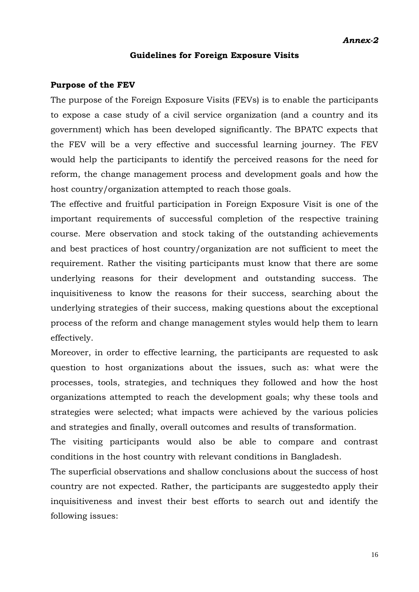#### **Guidelines for Foreign Exposure Visits**

#### **Purpose of the FEV**

The purpose of the Foreign Exposure Visits (FEVs) is to enable the participants to expose a case study of a civil service organization (and a country and its government) which has been developed significantly. The BPATC expects that the FEV will be a very effective and successful learning journey. The FEV would help the participants to identify the perceived reasons for the need for reform, the change management process and development goals and how the host country/organization attempted to reach those goals.

The effective and fruitful participation in Foreign Exposure Visit is one of the important requirements of successful completion of the respective training course. Mere observation and stock taking of the outstanding achievements and best practices of host country/organization are not sufficient to meet the requirement. Rather the visiting participants must know that there are some underlying reasons for their development and outstanding success. The inquisitiveness to know the reasons for their success, searching about the underlying strategies of their success, making questions about the exceptional process of the reform and change management styles would help them to learn effectively.

Moreover, in order to effective learning, the participants are requested to ask question to host organizations about the issues, such as: what were the processes, tools, strategies, and techniques they followed and how the host organizations attempted to reach the development goals; why these tools and strategies were selected; what impacts were achieved by the various policies and strategies and finally, overall outcomes and results of transformation.

The visiting participants would also be able to compare and contrast conditions in the host country with relevant conditions in Bangladesh.

The superficial observations and shallow conclusions about the success of host country are not expected. Rather, the participants are suggestedto apply their inquisitiveness and invest their best efforts to search out and identify the following issues: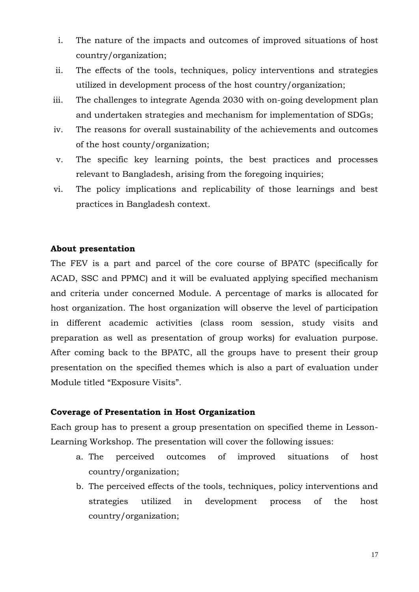- i. The nature of the impacts and outcomes of improved situations of host country/organization;
- ii. The effects of the tools, techniques, policy interventions and strategies utilized in development process of the host country/organization;
- iii. The challenges to integrate Agenda 2030 with on-going development plan and undertaken strategies and mechanism for implementation of SDGs;
- iv. The reasons for overall sustainability of the achievements and outcomes of the host county/organization;
- v. The specific key learning points, the best practices and processes relevant to Bangladesh, arising from the foregoing inquiries;
- vi. The policy implications and replicability of those learnings and best practices in Bangladesh context.

#### **About presentation**

The FEV is a part and parcel of the core course of BPATC (specifically for ACAD, SSC and PPMC) and it will be evaluated applying specified mechanism and criteria under concerned Module. A percentage of marks is allocated for host organization. The host organization will observe the level of participation in different academic activities (class room session, study visits and preparation as well as presentation of group works) for evaluation purpose. After coming back to the BPATC, all the groups have to present their group presentation on the specified themes which is also a part of evaluation under Module titled "Exposure Visits".

#### **Coverage of Presentation in Host Organization**

Each group has to present a group presentation on specified theme in Lesson-Learning Workshop. The presentation will cover the following issues:

- a. The perceived outcomes of improved situations of host country/organization;
- b. The perceived effects of the tools, techniques, policy interventions and strategies utilized in development process of the host country/organization;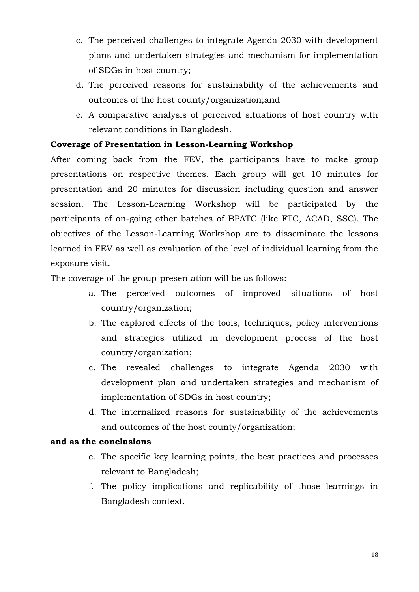- c. The perceived challenges to integrate Agenda 2030 with development plans and undertaken strategies and mechanism for implementation of SDGs in host country;
- d. The perceived reasons for sustainability of the achievements and outcomes of the host county/organization;and
- e. A comparative analysis of perceived situations of host country with relevant conditions in Bangladesh.

#### **Coverage of Presentation in Lesson-Learning Workshop**

After coming back from the FEV, the participants have to make group presentations on respective themes. Each group will get 10 minutes for presentation and 20 minutes for discussion including question and answer session. The Lesson-Learning Workshop will be participated by the participants of on-going other batches of BPATC (like FTC, ACAD, SSC). The objectives of the Lesson-Learning Workshop are to disseminate the lessons learned in FEV as well as evaluation of the level of individual learning from the exposure visit.

The coverage of the group-presentation will be as follows:

- a. The perceived outcomes of improved situations of host country/organization;
- b. The explored effects of the tools, techniques, policy interventions and strategies utilized in development process of the host country/organization;
- c. The revealed challenges to integrate Agenda 2030 with development plan and undertaken strategies and mechanism of implementation of SDGs in host country;
- d. The internalized reasons for sustainability of the achievements and outcomes of the host county/organization;

#### **and as the conclusions**

- e. The specific key learning points, the best practices and processes relevant to Bangladesh;
- f. The policy implications and replicability of those learnings in Bangladesh context.